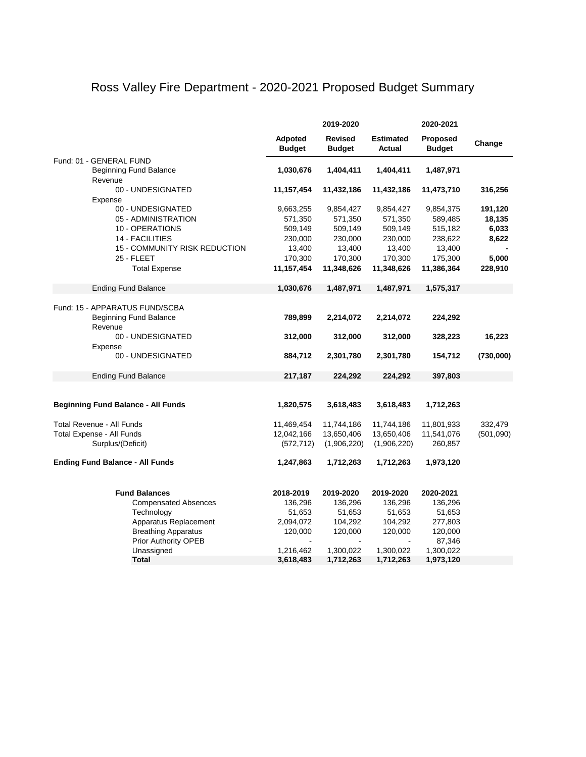### Ross Valley Fire Department - 2020-2021 Proposed Budget Summary

|                                           | 2019-2020                |                                 |                            | 2020-2021                 |           |
|-------------------------------------------|--------------------------|---------------------------------|----------------------------|---------------------------|-----------|
|                                           | Adpoted<br><b>Budget</b> | <b>Revised</b><br><b>Budget</b> | <b>Estimated</b><br>Actual | Proposed<br><b>Budget</b> | Change    |
| Fund: 01 - GENERAL FUND                   |                          |                                 |                            |                           |           |
| <b>Beginning Fund Balance</b>             | 1,030,676                | 1,404,411                       | 1,404,411                  | 1,487,971                 |           |
| Revenue                                   |                          |                                 |                            |                           |           |
| 00 - UNDESIGNATED                         | 11,157,454               | 11,432,186                      | 11,432,186                 | 11,473,710                | 316,256   |
| Expense                                   |                          |                                 |                            |                           |           |
| 00 - UNDESIGNATED                         | 9,663,255                | 9,854,427                       | 9,854,427                  | 9,854,375                 | 191,120   |
| 05 - ADMINISTRATION                       | 571,350                  | 571,350                         | 571,350                    | 589,485                   | 18,135    |
| 10 - OPERATIONS                           | 509,149                  | 509,149                         | 509,149                    | 515,182                   | 6,033     |
| 14 - FACILITIES                           | 230,000                  | 230,000                         | 230,000                    | 238,622                   | 8,622     |
| <b>15 - COMMUNITY RISK REDUCTION</b>      | 13,400                   | 13,400                          | 13,400                     | 13,400                    |           |
| 25 - FLEET                                | 170,300                  | 170,300                         | 170,300                    | 175,300                   | 5,000     |
| <b>Total Expense</b>                      | 11,157,454               | 11,348,626                      | 11,348,626                 | 11,386,364                | 228,910   |
| <b>Ending Fund Balance</b>                | 1,030,676                | 1,487,971                       | 1,487,971                  | 1,575,317                 |           |
|                                           |                          |                                 |                            |                           |           |
| Fund: 15 - APPARATUS FUND/SCBA            |                          |                                 |                            |                           |           |
| <b>Beginning Fund Balance</b>             | 789,899                  | 2,214,072                       | 2,214,072                  | 224,292                   |           |
| Revenue                                   |                          |                                 |                            |                           |           |
| 00 - UNDESIGNATED                         | 312,000                  | 312,000                         | 312,000                    | 328,223                   | 16,223    |
| Expense                                   |                          |                                 |                            |                           |           |
| 00 - UNDESIGNATED                         | 884,712                  | 2,301,780                       | 2,301,780                  | 154,712                   | (730,000) |
| <b>Ending Fund Balance</b>                | 217,187                  | 224,292                         | 224,292                    | 397,803                   |           |
|                                           |                          |                                 |                            |                           |           |
|                                           |                          |                                 |                            |                           |           |
| <b>Beginning Fund Balance - All Funds</b> | 1,820,575                | 3,618,483                       | 3,618,483                  | 1,712,263                 |           |
|                                           |                          |                                 |                            |                           |           |
| Total Revenue - All Funds                 | 11,469,454               | 11,744,186                      | 11,744,186                 | 11,801,933                | 332,479   |
| Total Expense - All Funds                 | 12,042,166               | 13,650,406                      | 13,650,406                 | 11,541,076                | (501,090) |
| Surplus/(Deficit)                         | (572, 712)               | (1,906,220)                     | (1,906,220)                | 260,857                   |           |
|                                           |                          |                                 |                            |                           |           |
| <b>Ending Fund Balance - All Funds</b>    | 1,247,863                | 1,712,263                       | 1,712,263                  | 1,973,120                 |           |
|                                           |                          |                                 |                            |                           |           |
| <b>Fund Balances</b>                      | 2018-2019                | 2019-2020                       | 2019-2020                  | 2020-2021                 |           |
| <b>Compensated Absences</b>               | 136,296                  | 136,296                         | 136,296                    | 136,296                   |           |
| Technology                                | 51,653                   | 51,653                          | 51,653                     | 51,653                    |           |
| Apparatus Replacement                     | 2,094,072                | 104,292                         | 104,292                    | 277,803                   |           |
| <b>Breathing Apparatus</b>                | 120,000                  | 120,000                         | 120,000                    | 120,000                   |           |
| Prior Authority OPEB                      |                          |                                 |                            | 87,346                    |           |
| Unassigned                                | 1,216,462                | 1,300,022                       | 1,300,022                  | 1,300,022                 |           |
| <b>Total</b>                              | 3,618,483                | 1,712,263                       | 1,712,263                  | 1,973,120                 |           |
|                                           |                          |                                 |                            |                           |           |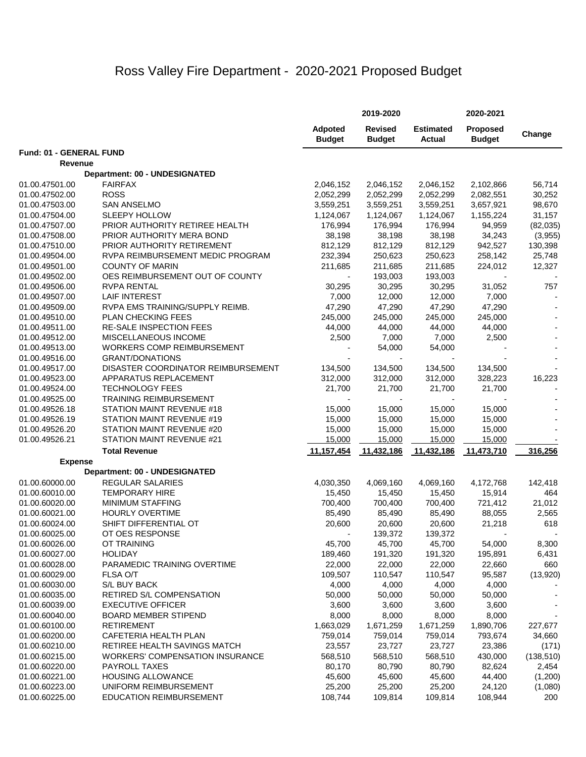# Ross Valley Fire Department - 2020-2021 Proposed Budget

|                                  |                                                                        |                          | 2019-2020                       |                            | 2020-2021                        |                     |
|----------------------------------|------------------------------------------------------------------------|--------------------------|---------------------------------|----------------------------|----------------------------------|---------------------|
|                                  |                                                                        | Adpoted<br><b>Budget</b> | <b>Revised</b><br><b>Budget</b> | <b>Estimated</b><br>Actual | <b>Proposed</b><br><b>Budget</b> | Change              |
| Fund: 01 - GENERAL FUND          |                                                                        |                          |                                 |                            |                                  |                     |
| Revenue                          |                                                                        |                          |                                 |                            |                                  |                     |
|                                  | Department: 00 - UNDESIGNATED                                          |                          |                                 |                            |                                  |                     |
| 01.00.47501.00                   | <b>FAIRFAX</b>                                                         | 2,046,152                | 2,046,152                       | 2,046,152                  | 2,102,866                        | 56,714              |
| 01.00.47502.00                   | <b>ROSS</b>                                                            | 2,052,299                | 2,052,299                       | 2,052,299                  | 2,082,551                        | 30,252              |
| 01.00.47503.00                   | <b>SAN ANSELMO</b>                                                     | 3,559,251                | 3,559,251                       | 3,559,251                  | 3,657,921                        | 98,670              |
| 01.00.47504.00                   | <b>SLEEPY HOLLOW</b>                                                   | 1,124,067                | 1,124,067                       | 1,124,067                  | 1,155,224                        | 31,157              |
| 01.00.47507.00                   | PRIOR AUTHORITY RETIREE HEALTH                                         | 176,994                  | 176,994                         | 176,994                    | 94,959                           | (82,035)            |
| 01.00.47508.00                   | PRIOR AUTHORITY MERA BOND                                              | 38,198                   | 38,198                          | 38,198                     | 34,243                           | (3,955)             |
| 01.00.47510.00                   | PRIOR AUTHORITY RETIREMENT                                             | 812,129                  | 812,129                         | 812,129                    | 942,527                          | 130,398             |
| 01.00.49504.00                   | RVPA REIMBURSEMENT MEDIC PROGRAM                                       | 232,394                  | 250,623                         | 250,623                    | 258,142                          | 25,748              |
| 01.00.49501.00                   | <b>COUNTY OF MARIN</b>                                                 | 211,685                  | 211,685                         | 211,685                    | 224,012                          | 12,327              |
| 01.00.49502.00                   | OES REIMBURSEMENT OUT OF COUNTY                                        |                          | 193,003                         | 193,003                    |                                  |                     |
| 01.00.49506.00                   | RVPA RENTAL                                                            | 30,295                   | 30,295                          | 30,295                     | 31,052                           | 757                 |
| 01.00.49507.00                   | <b>LAIF INTEREST</b>                                                   | 7,000                    | 12,000                          | 12,000                     | 7,000                            |                     |
| 01.00.49509.00                   | RVPA EMS TRAINING/SUPPLY REIMB.<br><b>PLAN CHECKING FEES</b>           | 47,290                   | 47,290<br>245,000               | 47,290                     | 47,290                           |                     |
| 01.00.49510.00<br>01.00.49511.00 | <b>RE-SALE INSPECTION FEES</b>                                         | 245,000<br>44,000        | 44,000                          | 245,000<br>44,000          | 245,000<br>44,000                |                     |
| 01.00.49512.00                   | <b>MISCELLANEOUS INCOME</b>                                            | 2,500                    | 7,000                           | 7,000                      | 2,500                            |                     |
| 01.00.49513.00                   | <b>WORKERS COMP REIMBURSEMENT</b>                                      |                          | 54,000                          | 54,000                     |                                  |                     |
| 01.00.49516.00                   | <b>GRANT/DONATIONS</b>                                                 |                          |                                 |                            |                                  |                     |
| 01.00.49517.00                   | DISASTER COORDINATOR REIMBURSEMENT                                     | 134,500                  | 134,500                         | 134,500                    | 134,500                          |                     |
| 01.00.49523.00                   | APPARATUS REPLACEMENT                                                  | 312,000                  | 312,000                         | 312,000                    | 328,223                          | 16,223              |
| 01.00.49524.00                   | <b>TECHNOLOGY FEES</b>                                                 | 21,700                   | 21,700                          | 21,700                     | 21,700                           |                     |
| 01.00.49525.00                   | <b>TRAINING REIMBURSEMENT</b>                                          |                          |                                 |                            |                                  |                     |
| 01.00.49526.18                   | STATION MAINT REVENUE #18                                              | 15,000                   | 15,000                          | 15,000                     | 15,000                           |                     |
| 01.00.49526.19                   | STATION MAINT REVENUE #19                                              | 15,000                   | 15,000                          | 15,000                     | 15,000                           |                     |
| 01.00.49526.20                   | STATION MAINT REVENUE #20                                              | 15,000                   | 15,000                          | 15,000                     | 15,000                           |                     |
| 01.00.49526.21                   | STATION MAINT REVENUE #21                                              | 15,000                   | 15,000                          | 15,000                     | 15,000                           |                     |
|                                  | <b>Total Revenue</b>                                                   | 11,157,454               | 11,432,186                      | 11,432,186                 | 11,473,710                       | 316,256             |
| <b>Expense</b>                   |                                                                        |                          |                                 |                            |                                  |                     |
|                                  | Department: 00 - UNDESIGNATED                                          |                          |                                 |                            |                                  |                     |
| 01.00.60000.00                   | <b>REGULAR SALARIES</b>                                                | 4,030,350                | 4,069,160                       | 4,069,160                  | 4,172,768                        | 142,418             |
| 01.00.60010.00                   | TEMPORARY HIRE                                                         | 15,450                   | 15,450                          | 15,450                     | 15,914                           | 464                 |
| 01.00.60020.00                   | <b>MINIMUM STAFFING</b>                                                | 700,400                  | 700,400                         | 700,400                    | 721,412                          | 21,012              |
| 01.00.60021.00                   | <b>HOURLY OVERTIME</b>                                                 | 85,490                   | 85,490                          | 85,490                     | 88,055                           | 2,565               |
| 01.00.60024.00                   | SHIFT DIFFERENTIAL OT                                                  | 20,600                   | 20,600                          | 20,600                     | 21,218                           | 618                 |
| 01.00.60025.00                   | OT OES RESPONSE                                                        |                          | 139,372                         | 139,372                    |                                  |                     |
| 01.00.60026.00                   | OT TRAINING                                                            | 45,700                   | 45,700                          | 45,700                     | 54,000                           | 8,300               |
| 01.00.60027.00                   | <b>HOLIDAY</b>                                                         | 189,460                  | 191,320                         | 191,320                    | 195,891                          | 6,431               |
| 01.00.60028.00                   | PARAMEDIC TRAINING OVERTIME                                            | 22,000                   | 22,000                          | 22,000                     | 22,660                           | 660                 |
| 01.00.60029.00                   | FLSA O/T                                                               | 109,507                  | 110,547                         | 110,547                    | 95,587                           | (13,920)            |
| 01.00.60030.00                   | S/L BUY BACK                                                           | 4,000                    | 4,000                           | 4,000                      | 4,000                            |                     |
| 01.00.60035.00                   | RETIRED S/L COMPENSATION                                               | 50,000                   | 50,000                          | 50,000                     | 50,000                           |                     |
| 01.00.60039.00                   | <b>EXECUTIVE OFFICER</b>                                               | 3,600                    | 3,600                           | 3,600                      | 3,600                            |                     |
| 01.00.60040.00                   | <b>BOARD MEMBER STIPEND</b>                                            | 8,000                    | 8,000                           | 8,000                      | 8,000                            |                     |
| 01.00.60100.00                   | RETIREMENT                                                             | 1,663,029                | 1,671,259                       | 1,671,259                  | 1,890,706                        | 227,677             |
| 01.00.60200.00                   | CAFETERIA HEALTH PLAN                                                  | 759,014<br>23,557        | 759,014                         | 759,014                    | 793,674                          | 34,660              |
| 01.00.60210.00<br>01.00.60215.00 | RETIREE HEALTH SAVINGS MATCH<br><b>WORKERS' COMPENSATION INSURANCE</b> | 568,510                  | 23,727<br>568,510               | 23,727<br>568,510          | 23,386<br>430,000                | (171)<br>(138, 510) |
| 01.00.60220.00                   | <b>PAYROLL TAXES</b>                                                   | 80,170                   | 80,790                          | 80,790                     | 82,624                           | 2,454               |
| 01.00.60221.00                   | <b>HOUSING ALLOWANCE</b>                                               | 45,600                   | 45,600                          | 45,600                     | 44,400                           | (1,200)             |
| 01.00.60223.00                   | UNIFORM REIMBURSEMENT                                                  | 25,200                   | 25,200                          | 25,200                     | 24,120                           | (1,080)             |
| 01.00.60225.00                   | EDUCATION REIMBURSEMENT                                                | 108,744                  | 109,814                         | 109,814                    | 108,944                          | 200                 |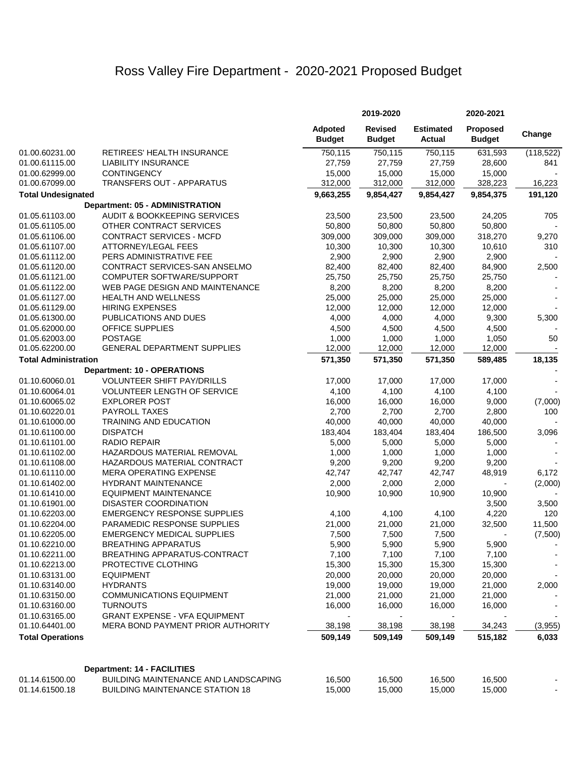# Ross Valley Fire Department - 2020-2021 Proposed Budget

|                                  |                                                    |                                 | 2019-2020                       |                                   | 2020-2021                        |                  |
|----------------------------------|----------------------------------------------------|---------------------------------|---------------------------------|-----------------------------------|----------------------------------|------------------|
|                                  |                                                    | <b>Adpoted</b><br><b>Budget</b> | <b>Revised</b><br><b>Budget</b> | <b>Estimated</b><br><b>Actual</b> | <b>Proposed</b><br><b>Budget</b> | Change           |
| 01.00.60231.00                   | RETIREES' HEALTH INSURANCE                         | 750,115                         | 750,115                         | 750,115                           | 631,593                          | (118, 522)       |
| 01.00.61115.00                   | <b>LIABILITY INSURANCE</b>                         | 27,759                          | 27,759                          | 27,759                            | 28,600                           | 841              |
| 01.00.62999.00                   | <b>CONTINGENCY</b>                                 | 15,000                          | 15,000                          | 15,000                            | 15,000                           |                  |
| 01.00.67099.00                   | TRANSFERS OUT - APPARATUS                          | 312,000                         | 312,000                         | 312,000                           | 328,223                          | 16,223           |
| <b>Total Undesignated</b>        |                                                    | 9,663,255                       | 9,854,427                       | 9,854,427                         | 9,854,375                        | 191,120          |
|                                  | Department: 05 - ADMINISTRATION                    |                                 |                                 |                                   |                                  |                  |
| 01.05.61103.00                   | <b>AUDIT &amp; BOOKKEEPING SERVICES</b>            | 23,500                          | 23,500                          | 23,500                            | 24,205                           | 705              |
| 01.05.61105.00                   | OTHER CONTRACT SERVICES                            | 50,800                          | 50,800                          | 50,800                            | 50,800                           |                  |
| 01.05.61106.00                   | <b>CONTRACT SERVICES - MCFD</b>                    | 309,000                         | 309,000                         | 309,000                           | 318,270                          | 9,270            |
| 01.05.61107.00                   | ATTORNEY/LEGAL FEES                                | 10,300                          | 10,300                          | 10,300                            | 10,610                           | 310              |
| 01.05.61112.00                   | PERS ADMINISTRATIVE FEE                            | 2,900                           | 2,900                           | 2,900                             | 2,900                            |                  |
| 01.05.61120.00                   | CONTRACT SERVICES-SAN ANSELMO                      | 82,400                          | 82,400                          | 82,400                            | 84,900                           | 2,500            |
| 01.05.61121.00                   | COMPUTER SOFTWARE/SUPPORT                          | 25,750                          | 25,750                          | 25,750                            | 25,750                           |                  |
| 01.05.61122.00                   | WEB PAGE DESIGN AND MAINTENANCE                    | 8,200                           | 8,200                           | 8,200                             | 8,200                            |                  |
| 01.05.61127.00                   | <b>HEALTH AND WELLNESS</b>                         | 25,000                          | 25,000                          | 25,000                            | 25,000                           |                  |
| 01.05.61129.00                   | <b>HIRING EXPENSES</b>                             | 12,000                          | 12,000                          | 12,000                            | 12,000                           |                  |
| 01.05.61300.00                   | PUBLICATIONS AND DUES                              | 4,000                           | 4,000                           | 4,000                             | 9,300                            | 5,300            |
| 01.05.62000.00                   | OFFICE SUPPLIES                                    | 4,500                           | 4,500                           | 4,500                             | 4,500                            |                  |
| 01.05.62003.00                   | <b>POSTAGE</b>                                     | 1,000                           | 1,000                           | 1,000                             | 1,050                            | 50               |
| 01.05.62200.00                   | <b>GENERAL DEPARTMENT SUPPLIES</b>                 | 12,000                          | 12,000                          | 12,000                            | 12,000                           |                  |
| <b>Total Administration</b>      |                                                    | 571,350                         | 571,350                         | 571,350                           | 589,485                          | 18,135           |
|                                  | <b>Department: 10 - OPERATIONS</b>                 |                                 |                                 |                                   |                                  |                  |
| 01.10.60060.01                   | <b>VOLUNTEER SHIFT PAY/DRILLS</b>                  | 17,000                          | 17,000                          | 17,000                            | 17,000                           |                  |
| 01.10.60064.01                   | <b>VOLUNTEER LENGTH OF SERVICE</b>                 | 4,100                           | 4,100                           | 4,100                             | 4,100                            |                  |
| 01.10.60065.02                   | <b>EXPLORER POST</b>                               | 16,000                          | 16,000                          | 16,000                            | 9,000                            |                  |
| 01.10.60220.01                   | PAYROLL TAXES                                      | 2,700                           | 2,700                           | 2,700                             | 2,800                            | (7,000)<br>100   |
| 01.10.61000.00                   | TRAINING AND EDUCATION                             | 40,000                          | 40,000                          | 40,000                            | 40,000                           |                  |
|                                  | <b>DISPATCH</b>                                    |                                 |                                 |                                   |                                  |                  |
| 01.10.61100.00<br>01.10.61101.00 | <b>RADIO REPAIR</b>                                | 183,404<br>5,000                | 183,404<br>5,000                | 183,404<br>5,000                  | 186,500<br>5,000                 | 3,096            |
|                                  | HAZARDOUS MATERIAL REMOVAL                         |                                 |                                 |                                   |                                  |                  |
| 01.10.61102.00<br>01.10.61108.00 | HAZARDOUS MATERIAL CONTRACT                        | 1,000<br>9,200                  | 1,000<br>9,200                  | 1,000<br>9,200                    | 1,000<br>9,200                   |                  |
|                                  | <b>MERA OPERATING EXPENSE</b>                      |                                 |                                 |                                   |                                  |                  |
| 01.10.61110.00<br>01.10.61402.00 | <b>HYDRANT MAINTENANCE</b>                         | 42,747<br>2,000                 | 42,747<br>2,000                 | 42,747<br>2,000                   | 48,919                           | 6,172<br>(2,000) |
| 01.10.61410.00                   | <b>EQUIPMENT MAINTENANCE</b>                       |                                 |                                 |                                   |                                  |                  |
| 01.10.61901.00                   | DISASTER COORDINATION                              | 10,900                          | 10,900                          | 10,900                            | 10,900<br>3,500                  | 3,500            |
|                                  | <b>EMERGENCY RESPONSE SUPPLIES</b>                 |                                 |                                 |                                   |                                  | 120              |
| 01.10.62203.00                   | PARAMEDIC RESPONSE SUPPLIES                        | 4,100                           | 4,100                           | 4,100                             | 4,220                            |                  |
| 01.10.62204.00<br>01.10.62205.00 | <b>EMERGENCY MEDICAL SUPPLIES</b>                  | 21,000                          | 21,000                          | 21,000                            | 32,500                           | 11,500           |
|                                  | <b>BREATHING APPARATUS</b>                         | 7,500<br>5,900                  | 7,500                           | 7,500                             |                                  | (7,500)          |
| 01.10.62210.00<br>01.10.62211.00 | <b>BREATHING APPARATUS-CONTRACT</b>                | 7,100                           | 5,900                           | 5,900                             | 5,900                            |                  |
|                                  |                                                    |                                 | 7,100                           | 7,100                             | 7,100                            |                  |
| 01.10.62213.00<br>01.10.63131.00 | PROTECTIVE CLOTHING<br><b>EQUIPMENT</b>            | 15,300                          | 15,300                          | 15,300                            | 15,300                           |                  |
|                                  |                                                    | 20,000                          | 20,000                          | 20,000<br>19,000                  | 20,000                           |                  |
| 01.10.63140.00                   | <b>HYDRANTS</b>                                    | 19,000                          | 19,000                          |                                   | 21,000                           | 2,000            |
| 01.10.63150.00                   | <b>COMMUNICATIONS EQUIPMENT</b><br><b>TURNOUTS</b> | 21,000                          | 21,000                          | 21,000                            | 21,000                           |                  |
| 01.10.63160.00                   |                                                    | 16,000                          | 16,000                          | 16,000                            | 16,000                           |                  |
| 01.10.63165.00<br>01.10.64401.00 | <b>GRANT EXPENSE - VFA EQUIPMENT</b>               |                                 |                                 |                                   |                                  |                  |
|                                  | MERA BOND PAYMENT PRIOR AUTHORITY                  | 38,198                          | 38,198                          | 38,198                            | 34,243                           | (3,955)          |
| <b>Total Operations</b>          |                                                    | 509,149                         | 509,149                         | 509,149                           | 515,182                          | 6,033            |
|                                  | <b>Department: 14 - FACILITIES</b>                 |                                 |                                 |                                   |                                  |                  |
| 01.14.61500.00                   | BUILDING MAINTENANCE AND LANDSCAPING               | 16,500                          | 16,500                          | 16,500                            | 16,500                           |                  |
| 01.14.61500.18                   | <b>BUILDING MAINTENANCE STATION 18</b>             | 15,000                          | 15,000                          | 15,000                            | 15,000                           |                  |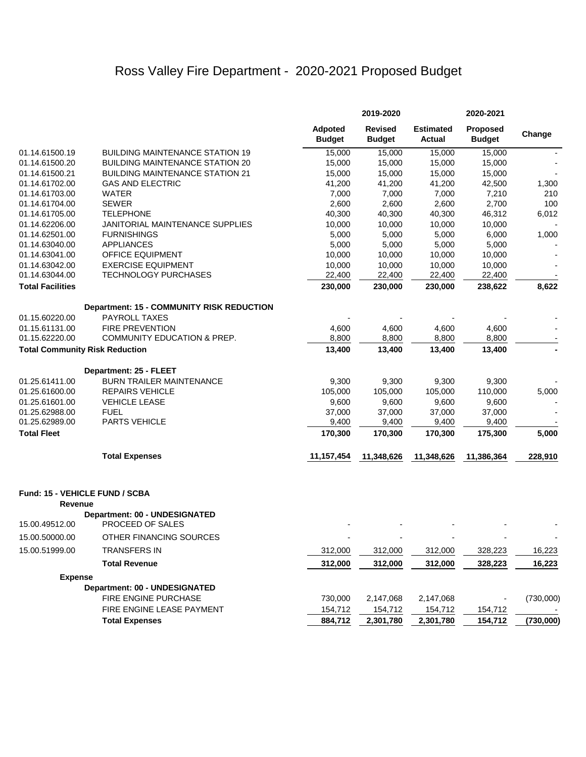## Ross Valley Fire Department - 2020-2021 Proposed Budget

|                         |                                                   |                                 | 2019-2020                       |                                   | 2020-2021                        |           |
|-------------------------|---------------------------------------------------|---------------------------------|---------------------------------|-----------------------------------|----------------------------------|-----------|
|                         |                                                   | <b>Adpoted</b><br><b>Budget</b> | <b>Revised</b><br><b>Budget</b> | <b>Estimated</b><br><b>Actual</b> | <b>Proposed</b><br><b>Budget</b> | Change    |
| 01.14.61500.19          | <b>BUILDING MAINTENANCE STATION 19</b>            | 15,000                          | 15,000                          | 15,000                            | 15,000                           |           |
| 01.14.61500.20          | <b>BUILDING MAINTENANCE STATION 20</b>            | 15,000                          | 15,000                          | 15,000                            | 15,000                           |           |
| 01.14.61500.21          | <b>BUILDING MAINTENANCE STATION 21</b>            | 15,000                          | 15,000                          | 15,000                            | 15,000                           |           |
| 01.14.61702.00          | <b>GAS AND ELECTRIC</b>                           | 41,200                          | 41,200                          | 41,200                            | 42,500                           | 1,300     |
| 01.14.61703.00          | <b>WATER</b>                                      | 7,000                           | 7,000                           | 7,000                             | 7,210                            | 210       |
| 01.14.61704.00          | <b>SEWER</b>                                      | 2,600                           | 2,600                           | 2,600                             | 2,700                            | 100       |
| 01.14.61705.00          | <b>TELEPHONE</b>                                  | 40,300                          | 40,300                          | 40,300                            | 46,312                           | 6,012     |
| 01.14.62206.00          | <b>JANITORIAL MAINTENANCE SUPPLIES</b>            | 10,000                          | 10,000                          | 10,000                            | 10,000                           |           |
| 01.14.62501.00          | <b>FURNISHINGS</b>                                | 5,000                           | 5,000                           | 5,000                             | 6,000                            | 1,000     |
| 01.14.63040.00          | <b>APPLIANCES</b>                                 | 5,000                           | 5,000                           | 5,000                             | 5,000                            |           |
| 01.14.63041.00          | <b>OFFICE EQUIPMENT</b>                           | 10,000                          | 10,000                          | 10,000                            | 10,000                           |           |
| 01.14.63042.00          | <b>EXERCISE EQUIPMENT</b>                         | 10,000                          | 10,000                          | 10,000                            | 10,000                           |           |
| 01.14.63044.00          | <b>TECHNOLOGY PURCHASES</b>                       | 22,400                          | 22,400                          | 22,400                            | 22,400                           |           |
| <b>Total Facilities</b> |                                                   | 230,000                         | 230,000                         | 230,000                           | 238,622                          | 8,622     |
|                         | Department: 15 - COMMUNITY RISK REDUCTION         |                                 |                                 |                                   |                                  |           |
| 01.15.60220.00          | <b>PAYROLL TAXES</b>                              |                                 |                                 |                                   |                                  |           |
| 01.15.61131.00          | <b>FIRE PREVENTION</b>                            | 4,600                           | 4,600                           | 4,600                             | 4,600                            |           |
| 01.15.62220.00          | <b>COMMUNITY EDUCATION &amp; PREP.</b>            | 8,800                           | 8,800                           | 8,800                             | 8,800                            |           |
|                         | <b>Total Community Risk Reduction</b>             | 13,400                          | 13,400                          | 13,400                            | 13,400                           |           |
|                         | Department: 25 - FLEET                            |                                 |                                 |                                   |                                  |           |
| 01.25.61411.00          | <b>BURN TRAILER MAINTENANCE</b>                   | 9,300                           | 9,300                           | 9,300                             | 9,300                            |           |
| 01.25.61600.00          | <b>REPAIRS VEHICLE</b>                            | 105,000                         | 105,000                         | 105,000                           | 110,000                          | 5,000     |
| 01.25.61601.00          | <b>VEHICLE LEASE</b>                              | 9,600                           | 9,600                           | 9,600                             | 9,600                            |           |
| 01.25.62988.00          | <b>FUEL</b>                                       | 37,000                          | 37,000                          | 37,000                            | 37,000                           |           |
| 01.25.62989.00          | <b>PARTS VEHICLE</b>                              | 9,400                           | 9,400                           | 9,400                             | 9,400                            |           |
| <b>Total Fleet</b>      |                                                   | 170,300                         | 170,300                         | 170,300                           | 175,300                          | 5,000     |
|                         | <b>Total Expenses</b>                             | 11,157,454                      | 11,348,626                      | 11,348,626                        | 11,386,364                       | 228,910   |
| Revenue                 | Fund: 15 - VEHICLE FUND / SCBA                    |                                 |                                 |                                   |                                  |           |
| 15.00.49512.00          | Department: 00 - UNDESIGNATED<br>PROCEED OF SALES |                                 |                                 |                                   |                                  |           |
| 15.00.50000.00          | OTHER FINANCING SOURCES                           |                                 |                                 |                                   |                                  |           |
| 15.00.51999.00          | <b>TRANSFERS IN</b>                               | 312,000                         | 312,000                         | 312,000                           | 328,223                          | 16,223    |
|                         | <b>Total Revenue</b>                              | 312,000                         | 312,000                         | 312,000                           | 328,223                          | 16,223    |
| <b>Expense</b>          |                                                   |                                 |                                 |                                   |                                  |           |
|                         | Department: 00 - UNDESIGNATED                     |                                 |                                 |                                   |                                  |           |
|                         | FIRE ENGINE PURCHASE                              | 730,000                         | 2,147,068                       | 2,147,068                         |                                  | (730,000) |
|                         | FIRE ENGINE LEASE PAYMENT                         | 154,712                         | 154,712                         | 154,712                           | 154,712                          |           |
|                         | <b>Total Expenses</b>                             | 884,712                         | 2,301,780                       | 2,301,780                         | 154,712                          | (730,000) |
|                         |                                                   |                                 |                                 |                                   |                                  |           |